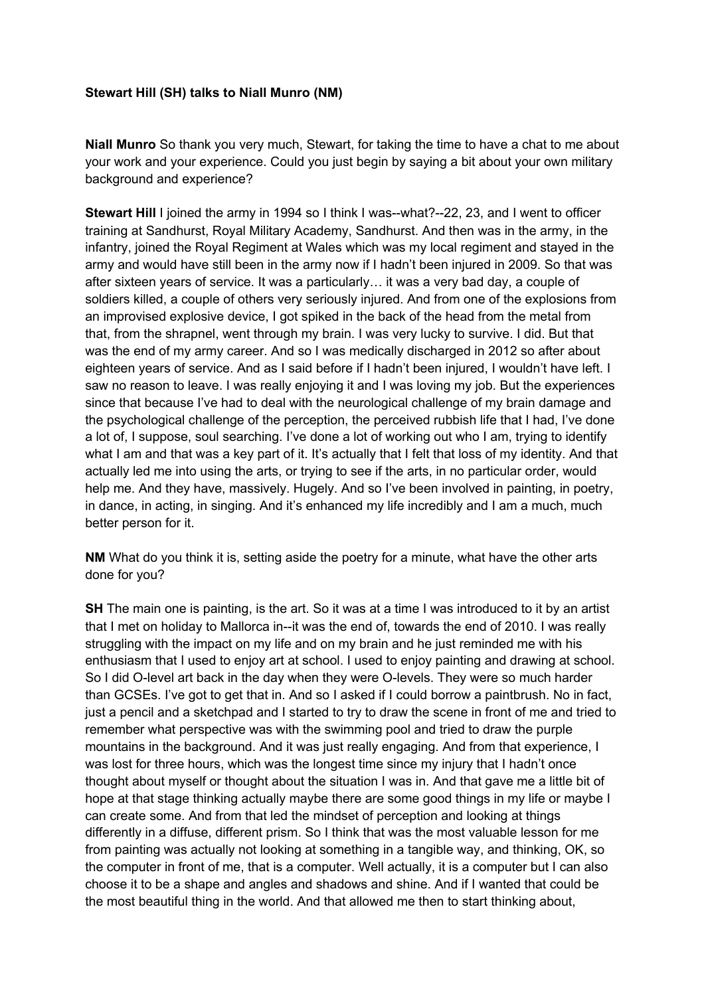#### **Stewart Hill (SH) talks to Niall Munro (NM)**

**Niall Munro** So thank you very much, Stewart, for taking the time to have a chat to me about your work and your experience. Could you just begin by saying a bit about your own military background and experience?

**Stewart Hill** I joined the army in 1994 so I think I was--what?--22, 23, and I went to officer training at Sandhurst, Royal Military Academy, Sandhurst. And then was in the army, in the infantry, joined the Royal Regiment at Wales which was my local regiment and stayed in the army and would have still been in the army now if I hadn't been injured in 2009. So that was after sixteen years of service. It was a particularly… it was a very bad day, a couple of soldiers killed, a couple of others very seriously injured. And from one of the explosions from an improvised explosive device, I got spiked in the back of the head from the metal from that, from the shrapnel, went through my brain. I was very lucky to survive. I did. But that was the end of my army career. And so I was medically discharged in 2012 so after about eighteen years of service. And as I said before if I hadn't been injured, I wouldn't have left. I saw no reason to leave. I was really enjoying it and I was loving my job. But the experiences since that because I've had to deal with the neurological challenge of my brain damage and the psychological challenge of the perception, the perceived rubbish life that I had, I've done a lot of, I suppose, soul searching. I've done a lot of working out who I am, trying to identify what I am and that was a key part of it. It's actually that I felt that loss of my identity. And that actually led me into using the arts, or trying to see if the arts, in no particular order, would help me. And they have, massively. Hugely. And so I've been involved in painting, in poetry, in dance, in acting, in singing. And it's enhanced my life incredibly and I am a much, much better person for it.

**NM** What do you think it is, setting aside the poetry for a minute, what have the other arts done for you?

**SH** The main one is painting, is the art. So it was at a time I was introduced to it by an artist that I met on holiday to Mallorca in--it was the end of, towards the end of 2010. I was really struggling with the impact on my life and on my brain and he just reminded me with his enthusiasm that I used to enjoy art at school. I used to enjoy painting and drawing at school. So I did O-level art back in the day when they were O-levels. They were so much harder than GCSEs. I've got to get that in. And so I asked if I could borrow a paintbrush. No in fact, just a pencil and a sketchpad and I started to try to draw the scene in front of me and tried to remember what perspective was with the swimming pool and tried to draw the purple mountains in the background. And it was just really engaging. And from that experience, I was lost for three hours, which was the longest time since my injury that I hadn't once thought about myself or thought about the situation I was in. And that gave me a little bit of hope at that stage thinking actually maybe there are some good things in my life or maybe I can create some. And from that led the mindset of perception and looking at things differently in a diffuse, different prism. So I think that was the most valuable lesson for me from painting was actually not looking at something in a tangible way, and thinking, OK, so the computer in front of me, that is a computer. Well actually, it is a computer but I can also choose it to be a shape and angles and shadows and shine. And if I wanted that could be the most beautiful thing in the world. And that allowed me then to start thinking about,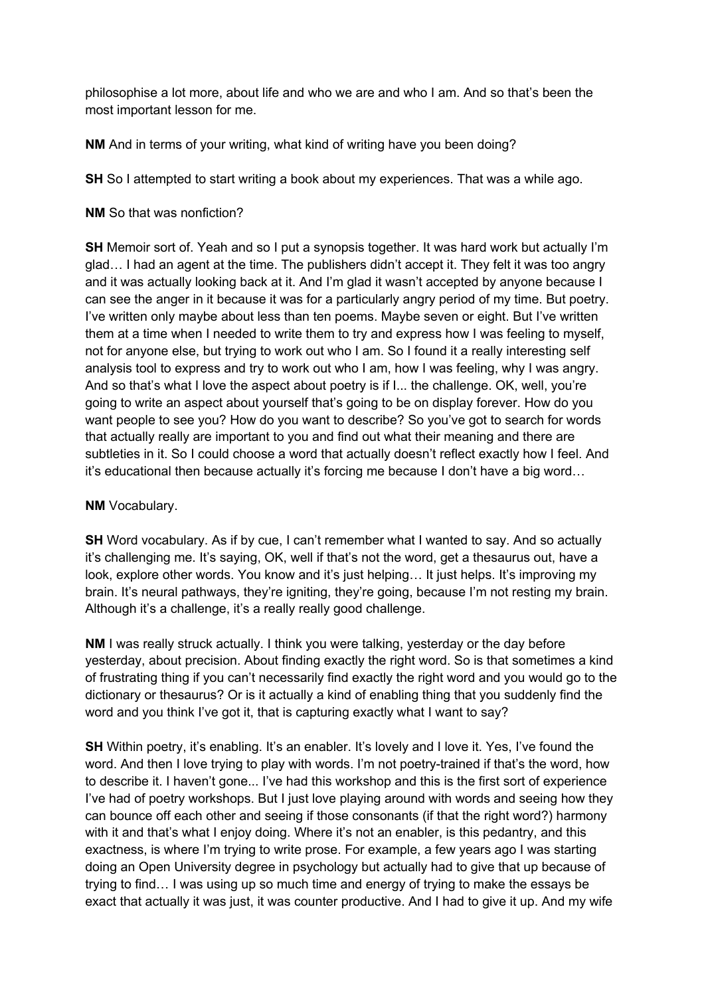philosophise a lot more, about life and who we are and who I am. And so that's been the most important lesson for me.

**NM** And in terms of your writing, what kind of writing have you been doing?

**SH** So I attempted to start writing a book about my experiences. That was a while ago.

## **NM** So that was nonfiction?

**SH** Memoir sort of. Yeah and so I put a synopsis together. It was hard work but actually I'm glad… I had an agent at the time. The publishers didn't accept it. They felt it was too angry and it was actually looking back at it. And I'm glad it wasn't accepted by anyone because I can see the anger in it because it was for a particularly angry period of my time. But poetry. I've written only maybe about less than ten poems. Maybe seven or eight. But I've written them at a time when I needed to write them to try and express how I was feeling to myself, not for anyone else, but trying to work out who I am. So I found it a really interesting self analysis tool to express and try to work out who I am, how I was feeling, why I was angry. And so that's what I love the aspect about poetry is if I... the challenge. OK, well, you're going to write an aspect about yourself that's going to be on display forever. How do you want people to see you? How do you want to describe? So you've got to search for words that actually really are important to you and find out what their meaning and there are subtleties in it. So I could choose a word that actually doesn't reflect exactly how I feel. And it's educational then because actually it's forcing me because I don't have a big word…

# **NM** Vocabulary.

**SH** Word vocabulary. As if by cue, I can't remember what I wanted to say. And so actually it's challenging me. It's saying, OK, well if that's not the word, get a thesaurus out, have a look, explore other words. You know and it's just helping... It just helps. It's improving my brain. It's neural pathways, they're igniting, they're going, because I'm not resting my brain. Although it's a challenge, it's a really really good challenge.

**NM** I was really struck actually. I think you were talking, yesterday or the day before yesterday, about precision. About finding exactly the right word. So is that sometimes a kind of frustrating thing if you can't necessarily find exactly the right word and you would go to the dictionary or thesaurus? Or is it actually a kind of enabling thing that you suddenly find the word and you think I've got it, that is capturing exactly what I want to say?

**SH** Within poetry, it's enabling. It's an enabler. It's lovely and I love it. Yes, I've found the word. And then I love trying to play with words. I'm not poetry-trained if that's the word, how to describe it. I haven't gone... I've had this workshop and this is the first sort of experience I've had of poetry workshops. But I just love playing around with words and seeing how they can bounce off each other and seeing if those consonants (if that the right word?) harmony with it and that's what I enjoy doing. Where it's not an enabler, is this pedantry, and this exactness, is where I'm trying to write prose. For example, a few years ago I was starting doing an Open University degree in psychology but actually had to give that up because of trying to find… I was using up so much time and energy of trying to make the essays be exact that actually it was just, it was counter productive. And I had to give it up. And my wife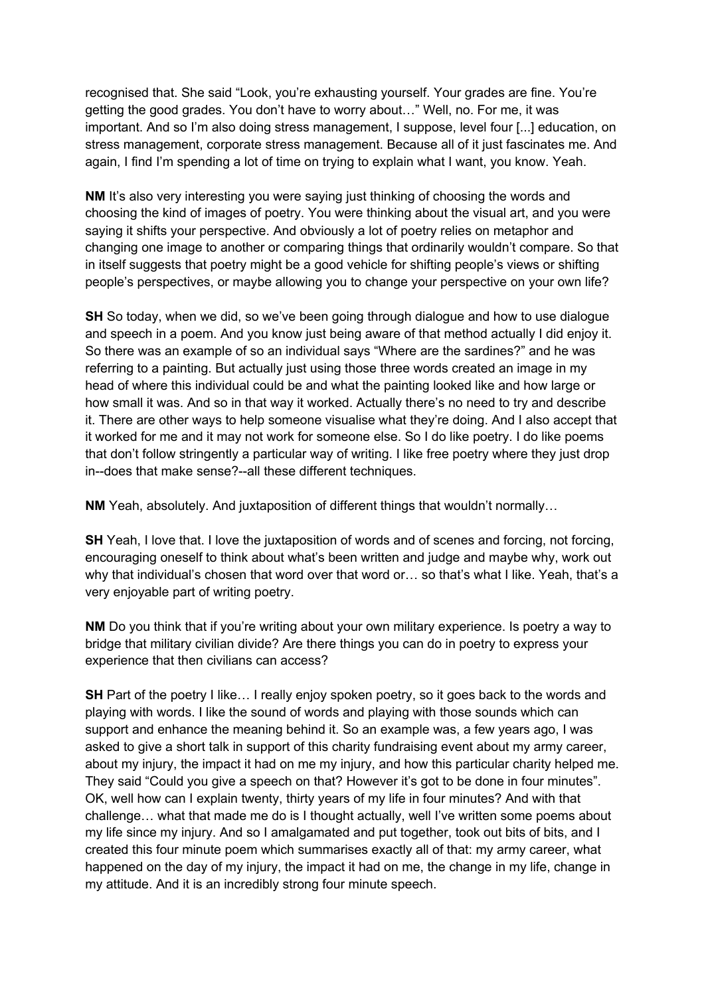recognised that. She said "Look, you're exhausting yourself. Your grades are fine. You're getting the good grades. You don't have to worry about…" Well, no. For me, it was important. And so I'm also doing stress management, I suppose, level four [...] education, on stress management, corporate stress management. Because all of it just fascinates me. And again, I find I'm spending a lot of time on trying to explain what I want, you know. Yeah.

**NM** It's also very interesting you were saying just thinking of choosing the words and choosing the kind of images of poetry. You were thinking about the visual art, and you were saying it shifts your perspective. And obviously a lot of poetry relies on metaphor and changing one image to another or comparing things that ordinarily wouldn't compare. So that in itself suggests that poetry might be a good vehicle for shifting people's views or shifting people's perspectives, or maybe allowing you to change your perspective on your own life?

**SH** So today, when we did, so we've been going through dialogue and how to use dialogue and speech in a poem. And you know just being aware of that method actually I did enjoy it. So there was an example of so an individual says "Where are the sardines?" and he was referring to a painting. But actually just using those three words created an image in my head of where this individual could be and what the painting looked like and how large or how small it was. And so in that way it worked. Actually there's no need to try and describe it. There are other ways to help someone visualise what they're doing. And I also accept that it worked for me and it may not work for someone else. So I do like poetry. I do like poems that don't follow stringently a particular way of writing. I like free poetry where they just drop in--does that make sense?--all these different techniques.

**NM** Yeah, absolutely. And juxtaposition of different things that wouldn't normally…

**SH** Yeah, I love that, I love the juxtaposition of words and of scenes and forcing, not forcing, encouraging oneself to think about what's been written and judge and maybe why, work out why that individual's chosen that word over that word or… so that's what I like. Yeah, that's a very enjoyable part of writing poetry.

**NM** Do you think that if you're writing about your own military experience. Is poetry a way to bridge that military civilian divide? Are there things you can do in poetry to express your experience that then civilians can access?

**SH** Part of the poetry I like... I really enjoy spoken poetry, so it goes back to the words and playing with words. I like the sound of words and playing with those sounds which can support and enhance the meaning behind it. So an example was, a few years ago, I was asked to give a short talk in support of this charity fundraising event about my army career, about my injury, the impact it had on me my injury, and how this particular charity helped me. They said "Could you give a speech on that? However it's got to be done in four minutes". OK, well how can I explain twenty, thirty years of my life in four minutes? And with that challenge… what that made me do is I thought actually, well I've written some poems about my life since my injury. And so I amalgamated and put together, took out bits of bits, and I created this four minute poem which summarises exactly all of that: my army career, what happened on the day of my injury, the impact it had on me, the change in my life, change in my attitude. And it is an incredibly strong four minute speech.